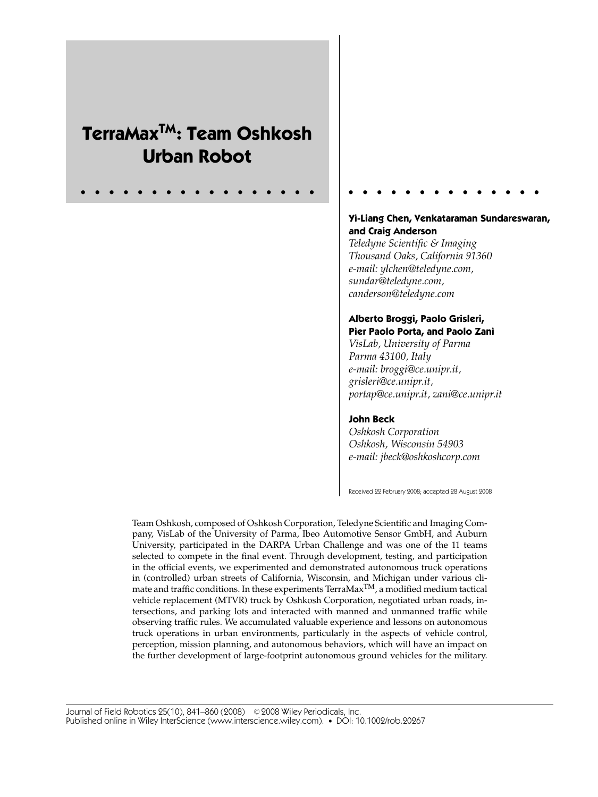# **TerraMaxTM: Team Oshkosh Urban Robot**

**Yi-Liang Chen, Venkataraman Sundareswaran,**

**and Craig Anderson** *Teledyne Scientific & Imaging*

*Thousand Oaks, California 91360 e-mail: ylchen@teledyne.com, sundar@teledyne.com, canderson@teledyne.com*

## **Alberto Broggi, Paolo Grisleri, Pier Paolo Porta, and Paolo Zani**

*VisLab, University of Parma Parma 43100, Italy e-mail: broggi@ce.unipr.it, grisleri@ce.unipr.it, portap@ce.unipr.it, zani@ce.unipr.it*

## **John Beck**

*Oshkosh Corporation Oshkosh, Wisconsin 54903 e-mail: jbeck@oshkoshcorp.com*

Received 22 February 2008; accepted 28 August 2008

Team Oshkosh, composed of Oshkosh Corporation, Teledyne Scientific and Imaging Company, VisLab of the University of Parma, Ibeo Automotive Sensor GmbH, and Auburn University, participated in the DARPA Urban Challenge and was one of the 11 teams selected to compete in the final event. Through development, testing, and participation in the official events, we experimented and demonstrated autonomous truck operations in (controlled) urban streets of California, Wisconsin, and Michigan under various climate and traffic conditions. In these experiments  $TerraMax^{TM}$ , a modified medium tactical vehicle replacement (MTVR) truck by Oshkosh Corporation, negotiated urban roads, intersections, and parking lots and interacted with manned and unmanned traffic while observing traffic rules. We accumulated valuable experience and lessons on autonomous truck operations in urban environments, particularly in the aspects of vehicle control, perception, mission planning, and autonomous behaviors, which will have an impact on the further development of large-footprint autonomous ground vehicles for the military.

••••••••••••••••• ••••••••••••••

Journal of Field Robotics 25(10), 841–860 (2008) -<sup>C</sup> 2008 Wiley Periodicals, Inc. Published online in Wiley InterScience (www.interscience.wiley.com). • DOI: 10.1002/rob.20267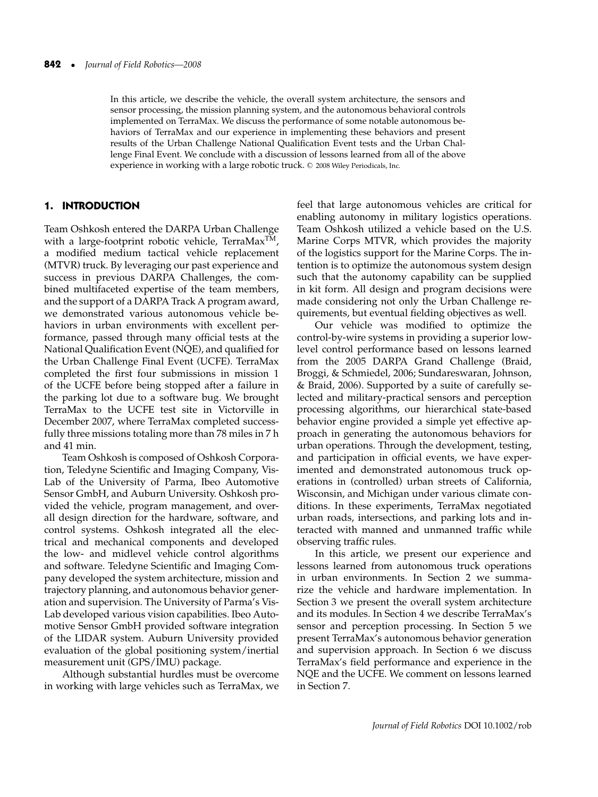In this article, we describe the vehicle, the overall system architecture, the sensors and sensor processing, the mission planning system, and the autonomous behavioral controls implemented on TerraMax. We discuss the performance of some notable autonomous behaviors of TerraMax and our experience in implementing these behaviors and present results of the Urban Challenge National Qualification Event tests and the Urban Challenge Final Event. We conclude with a discussion of lessons learned from all of the above experience in working with a large robotic truck. © 2008 Wiley Periodicals, Inc.

#### **1. INTRODUCTION**

Team Oshkosh entered the DARPA Urban Challenge with a large-footprint robotic vehicle, TerraMax<sup>TM</sup>, a modified medium tactical vehicle replacement (MTVR) truck. By leveraging our past experience and success in previous DARPA Challenges, the combined multifaceted expertise of the team members, and the support of a DARPA Track A program award, we demonstrated various autonomous vehicle behaviors in urban environments with excellent performance, passed through many official tests at the National Qualification Event (NQE), and qualified for the Urban Challenge Final Event (UCFE). TerraMax completed the first four submissions in mission 1 of the UCFE before being stopped after a failure in the parking lot due to a software bug. We brought TerraMax to the UCFE test site in Victorville in December 2007, where TerraMax completed successfully three missions totaling more than 78 miles in 7 h and 41 min.

Team Oshkosh is composed of Oshkosh Corporation, Teledyne Scientific and Imaging Company, Vis-Lab of the University of Parma, Ibeo Automotive Sensor GmbH, and Auburn University. Oshkosh provided the vehicle, program management, and overall design direction for the hardware, software, and control systems. Oshkosh integrated all the electrical and mechanical components and developed the low- and midlevel vehicle control algorithms and software. Teledyne Scientific and Imaging Company developed the system architecture, mission and trajectory planning, and autonomous behavior generation and supervision. The University of Parma's Vis-Lab developed various vision capabilities. Ibeo Automotive Sensor GmbH provided software integration of the LIDAR system. Auburn University provided evaluation of the global positioning system/inertial measurement unit (GPS/IMU) package.

Although substantial hurdles must be overcome in working with large vehicles such as TerraMax, we feel that large autonomous vehicles are critical for enabling autonomy in military logistics operations. Team Oshkosh utilized a vehicle based on the U.S. Marine Corps MTVR, which provides the majority of the logistics support for the Marine Corps. The intention is to optimize the autonomous system design such that the autonomy capability can be supplied in kit form. All design and program decisions were made considering not only the Urban Challenge requirements, but eventual fielding objectives as well.

Our vehicle was modified to optimize the control-by-wire systems in providing a superior lowlevel control performance based on lessons learned from the 2005 DARPA Grand Challenge (Braid, Broggi, & Schmiedel, 2006; Sundareswaran, Johnson, & Braid, 2006). Supported by a suite of carefully selected and military-practical sensors and perception processing algorithms, our hierarchical state-based behavior engine provided a simple yet effective approach in generating the autonomous behaviors for urban operations. Through the development, testing, and participation in official events, we have experimented and demonstrated autonomous truck operations in (controlled) urban streets of California, Wisconsin, and Michigan under various climate conditions. In these experiments, TerraMax negotiated urban roads, intersections, and parking lots and interacted with manned and unmanned traffic while observing traffic rules.

In this article, we present our experience and lessons learned from autonomous truck operations in urban environments. In Section 2 we summarize the vehicle and hardware implementation. In Section 3 we present the overall system architecture and its modules. In Section 4 we describe TerraMax's sensor and perception processing. In Section 5 we present TerraMax's autonomous behavior generation and supervision approach. In Section 6 we discuss TerraMax's field performance and experience in the NQE and the UCFE. We comment on lessons learned in Section 7.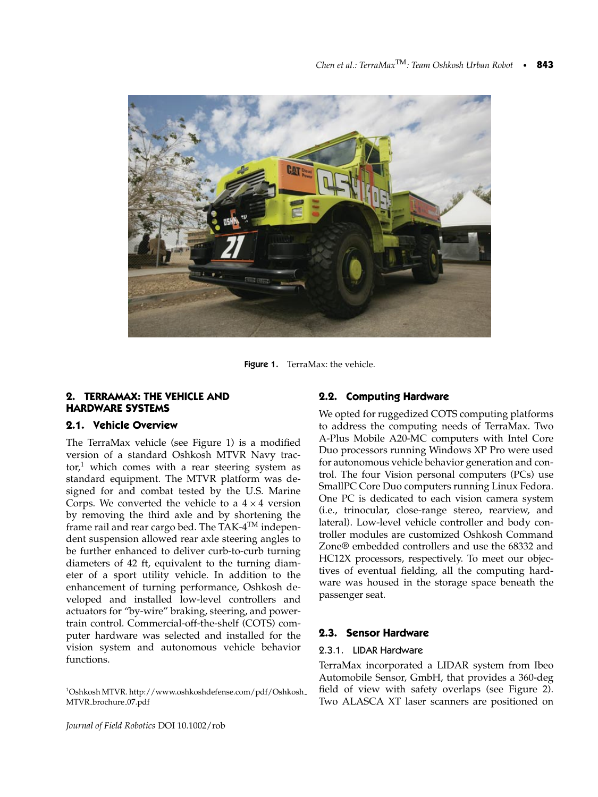

**Figure 1.** TerraMax: the vehicle.

## **2. TERRAMAX: THE VEHICLE AND HARDWARE SYSTEMS**

# **2.1. Vehicle Overview**

The TerraMax vehicle (see Figure 1) is a modified version of a standard Oshkosh MTVR Navy trac $tor<sup>1</sup>$  which comes with a rear steering system as standard equipment. The MTVR platform was designed for and combat tested by the U.S. Marine Corps. We converted the vehicle to a  $4 \times 4$  version by removing the third axle and by shortening the frame rail and rear cargo bed. The TAK-4<sup>TM</sup> independent suspension allowed rear axle steering angles to be further enhanced to deliver curb-to-curb turning diameters of 42 ft, equivalent to the turning diameter of a sport utility vehicle. In addition to the enhancement of turning performance, Oshkosh developed and installed low-level controllers and actuators for "by-wire" braking, steering, and powertrain control. Commercial-off-the-shelf (COTS) computer hardware was selected and installed for the vision system and autonomous vehicle behavior functions.

1Oshkosh MTVR. http://www.oshkoshdefense.com/pdf/Oshkosh MTVR\_brochure\_07.pdf

# **2.2. Computing Hardware**

We opted for ruggedized COTS computing platforms to address the computing needs of TerraMax. Two A-Plus Mobile A20-MC computers with Intel Core Duo processors running Windows XP Pro were used for autonomous vehicle behavior generation and control. The four Vision personal computers (PCs) use SmallPC Core Duo computers running Linux Fedora. One PC is dedicated to each vision camera system (i.e., trinocular, close-range stereo, rearview, and lateral). Low-level vehicle controller and body controller modules are customized Oshkosh Command Zone® embedded controllers and use the 68332 and HC12X processors, respectively. To meet our objectives of eventual fielding, all the computing hardware was housed in the storage space beneath the passenger seat.

#### **2.3. Sensor Hardware**

#### 2.3.1. LIDAR Hardware

TerraMax incorporated a LIDAR system from Ibeo Automobile Sensor, GmbH, that provides a 360-deg field of view with safety overlaps (see Figure 2). Two ALASCA XT laser scanners are positioned on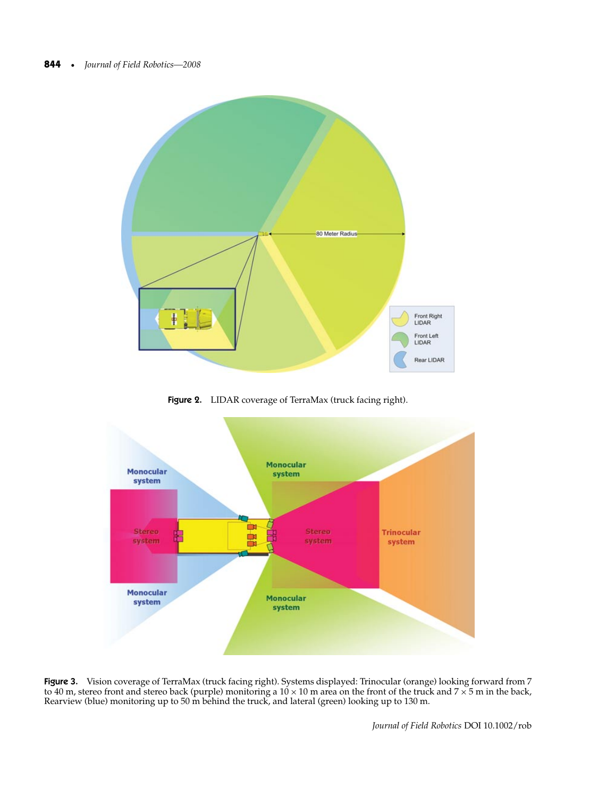## **844** • *Journal of Field Robotics—2008*



**Figure 2.** LIDAR coverage of TerraMax (truck facing right).



**Figure 3.** Vision coverage of TerraMax (truck facing right). Systems displayed: Trinocular (orange) looking forward from 7 to 40 m, stereo front and stereo back (purple) monitoring a  $10 \times 10$  m area on the front of the truck and  $7 \times 5$  m in the back, Rearview (blue) monitoring up to 50 m behind the truck, and lateral (green) looking up to 130 m.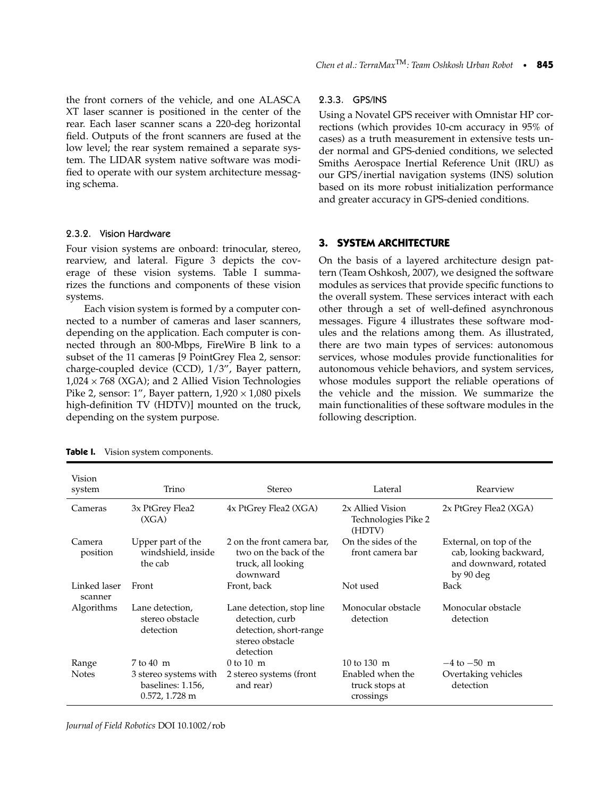the front corners of the vehicle, and one ALASCA XT laser scanner is positioned in the center of the rear. Each laser scanner scans a 220-deg horizontal field. Outputs of the front scanners are fused at the low level; the rear system remained a separate system. The LIDAR system native software was modified to operate with our system architecture messaging schema.

## 2.3.2. Vision Hardware

Four vision systems are onboard: trinocular, stereo, rearview, and lateral. Figure 3 depicts the coverage of these vision systems. Table I summarizes the functions and components of these vision systems.

Each vision system is formed by a computer connected to a number of cameras and laser scanners, depending on the application. Each computer is connected through an 800-Mbps, FireWire B link to a subset of the 11 cameras [9 PointGrey Flea 2, sensor: charge-coupled device (CCD), 1/3", Bayer pattern,  $1,024 \times 768$  (XGA); and 2 Allied Vision Technologies Pike 2, sensor: 1", Bayer pattern,  $1,920 \times 1,080$  pixels high-definition TV (HDTV)] mounted on the truck, depending on the system purpose.

## 2.3.3. GPS/INS

Using a Novatel GPS receiver with Omnistar HP corrections (which provides 10-cm accuracy in 95% of cases) as a truth measurement in extensive tests under normal and GPS-denied conditions, we selected Smiths Aerospace Inertial Reference Unit (IRU) as our GPS/inertial navigation systems (INS) solution based on its more robust initialization performance and greater accuracy in GPS-denied conditions.

## **3. SYSTEM ARCHITECTURE**

On the basis of a layered architecture design pattern (Team Oshkosh, 2007), we designed the software modules as services that provide specific functions to the overall system. These services interact with each other through a set of well-defined asynchronous messages. Figure 4 illustrates these software modules and the relations among them. As illustrated, there are two main types of services: autonomous services, whose modules provide functionalities for autonomous vehicle behaviors, and system services, whose modules support the reliable operations of the vehicle and the mission. We summarize the main functionalities of these software modules in the following description.

| Vision<br>system        | Trino                                                          | Stereo                                                                                                 | Lateral                                           | Rearview                                                                                |
|-------------------------|----------------------------------------------------------------|--------------------------------------------------------------------------------------------------------|---------------------------------------------------|-----------------------------------------------------------------------------------------|
| Cameras                 | 3x PtGrey Flea2<br>(XGA)                                       | 4x PtGrey Flea2 (XGA)                                                                                  | 2x Allied Vision<br>Technologies Pike 2<br>(HDTV) | 2x PtGrey Flea2 (XGA)                                                                   |
| Camera<br>position      | Upper part of the<br>windshield, inside<br>the cab             | 2 on the front camera bar,<br>two on the back of the<br>truck, all looking<br>downward                 | On the sides of the<br>front camera bar           | External, on top of the<br>cab, looking backward,<br>and downward, rotated<br>by 90 deg |
| Linked laser<br>scanner | Front                                                          | Front, back                                                                                            | Not used                                          | Back                                                                                    |
| Algorithms              | Lane detection,<br>stereo obstacle<br>detection                | Lane detection, stop line<br>detection, curb<br>detection, short-range<br>stereo obstacle<br>detection | Monocular obstacle<br>detection                   | Monocular obstacle<br>detection                                                         |
| Range                   | 7 to 40 m                                                      | $0$ to $10$ m                                                                                          | 10 to 130 m                                       | $-4$ to $-50$ m                                                                         |
| <b>Notes</b>            | 3 stereo systems with<br>baselines: 1.156,<br>$0.572, 1.728$ m | 2 stereo systems (front<br>and rear)                                                                   | Enabled when the<br>truck stops at<br>crossings   | Overtaking vehicles<br>detection                                                        |

**Table I.** Vision system components.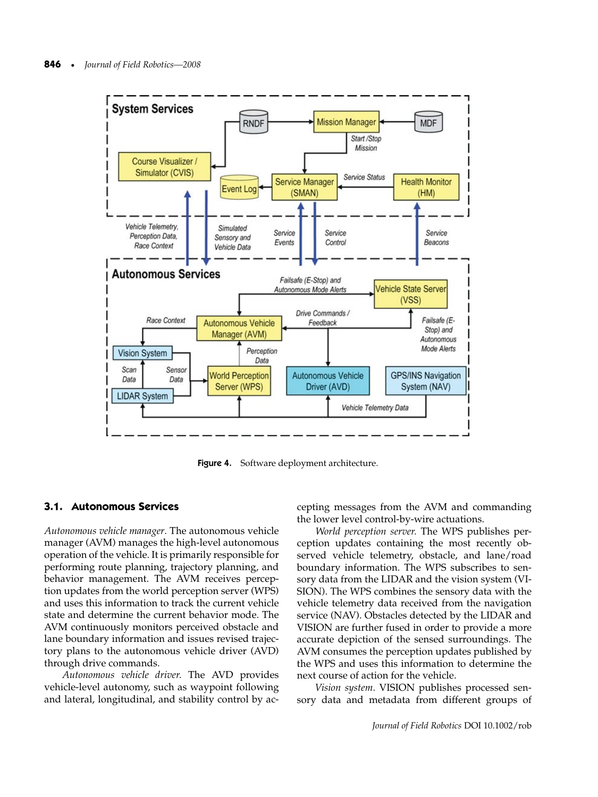

**Figure 4.** Software deployment architecture.

#### **3.1. Autonomous Services**

*Autonomous vehicle manager*. The autonomous vehicle manager (AVM) manages the high-level autonomous operation of the vehicle. It is primarily responsible for performing route planning, trajectory planning, and behavior management. The AVM receives perception updates from the world perception server (WPS) and uses this information to track the current vehicle state and determine the current behavior mode. The AVM continuously monitors perceived obstacle and lane boundary information and issues revised trajectory plans to the autonomous vehicle driver (AVD) through drive commands.

*Autonomous vehicle driver.* The AVD provides vehicle-level autonomy, such as waypoint following and lateral, longitudinal, and stability control by accepting messages from the AVM and commanding the lower level control-by-wire actuations.

*World perception server.* The WPS publishes perception updates containing the most recently observed vehicle telemetry, obstacle, and lane/road boundary information. The WPS subscribes to sensory data from the LIDAR and the vision system (VI-SION). The WPS combines the sensory data with the vehicle telemetry data received from the navigation service (NAV). Obstacles detected by the LIDAR and VISION are further fused in order to provide a more accurate depiction of the sensed surroundings. The AVM consumes the perception updates published by the WPS and uses this information to determine the next course of action for the vehicle.

*Vision system.* VISION publishes processed sensory data and metadata from different groups of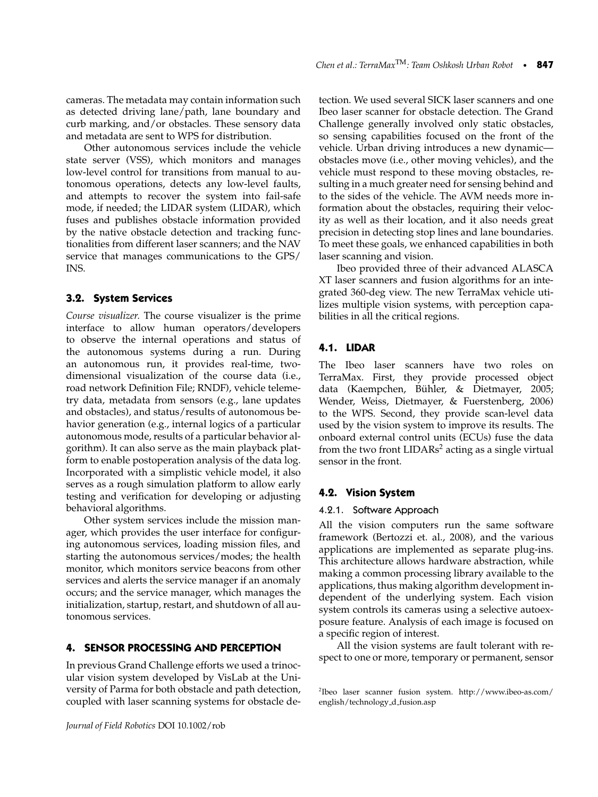cameras. The metadata may contain information such as detected driving lane/path, lane boundary and curb marking, and/or obstacles. These sensory data and metadata are sent to WPS for distribution.

Other autonomous services include the vehicle state server (VSS), which monitors and manages low-level control for transitions from manual to autonomous operations, detects any low-level faults, and attempts to recover the system into fail-safe mode, if needed; the LIDAR system (LIDAR), which fuses and publishes obstacle information provided by the native obstacle detection and tracking functionalities from different laser scanners; and the NAV service that manages communications to the GPS/ INS.

## **3.2. System Services**

*Course visualizer.* The course visualizer is the prime interface to allow human operators/developers to observe the internal operations and status of the autonomous systems during a run. During an autonomous run, it provides real-time, twodimensional visualization of the course data (i.e., road network Definition File; RNDF), vehicle telemetry data, metadata from sensors (e.g., lane updates and obstacles), and status/results of autonomous behavior generation (e.g., internal logics of a particular autonomous mode, results of a particular behavior algorithm). It can also serve as the main playback platform to enable postoperation analysis of the data log. Incorporated with a simplistic vehicle model, it also serves as a rough simulation platform to allow early testing and verification for developing or adjusting behavioral algorithms.

Other system services include the mission manager, which provides the user interface for configuring autonomous services, loading mission files, and starting the autonomous services/modes; the health monitor, which monitors service beacons from other services and alerts the service manager if an anomaly occurs; and the service manager, which manages the initialization, startup, restart, and shutdown of all autonomous services.

## **4. SENSOR PROCESSING AND PERCEPTION**

In previous Grand Challenge efforts we used a trinocular vision system developed by VisLab at the University of Parma for both obstacle and path detection, coupled with laser scanning systems for obstacle detection. We used several SICK laser scanners and one Ibeo laser scanner for obstacle detection. The Grand Challenge generally involved only static obstacles, so sensing capabilities focused on the front of the vehicle. Urban driving introduces a new dynamic obstacles move (i.e., other moving vehicles), and the vehicle must respond to these moving obstacles, resulting in a much greater need for sensing behind and to the sides of the vehicle. The AVM needs more information about the obstacles, requiring their velocity as well as their location, and it also needs great precision in detecting stop lines and lane boundaries. To meet these goals, we enhanced capabilities in both laser scanning and vision.

Ibeo provided three of their advanced ALASCA XT laser scanners and fusion algorithms for an integrated 360-deg view. The new TerraMax vehicle utilizes multiple vision systems, with perception capabilities in all the critical regions.

# **4.1. LIDAR**

The Ibeo laser scanners have two roles on TerraMax. First, they provide processed object data (Kaempchen, Bühler, & Dietmayer, 2005; Wender, Weiss, Dietmayer, & Fuerstenberg, 2006) to the WPS. Second, they provide scan-level data used by the vision system to improve its results. The onboard external control units (ECUs) fuse the data from the two front  $LIDARs<sup>2</sup>$  acting as a single virtual sensor in the front.

## **4.2. Vision System**

#### 4.2.1. Software Approach

All the vision computers run the same software framework (Bertozzi et. al., 2008), and the various applications are implemented as separate plug-ins. This architecture allows hardware abstraction, while making a common processing library available to the applications, thus making algorithm development independent of the underlying system. Each vision system controls its cameras using a selective autoexposure feature. Analysis of each image is focused on a specific region of interest.

All the vision systems are fault tolerant with respect to one or more, temporary or permanent, sensor

<sup>2</sup>Ibeo laser scanner fusion system. http://www.ibeo-as.com/ english/technology d fusion.asp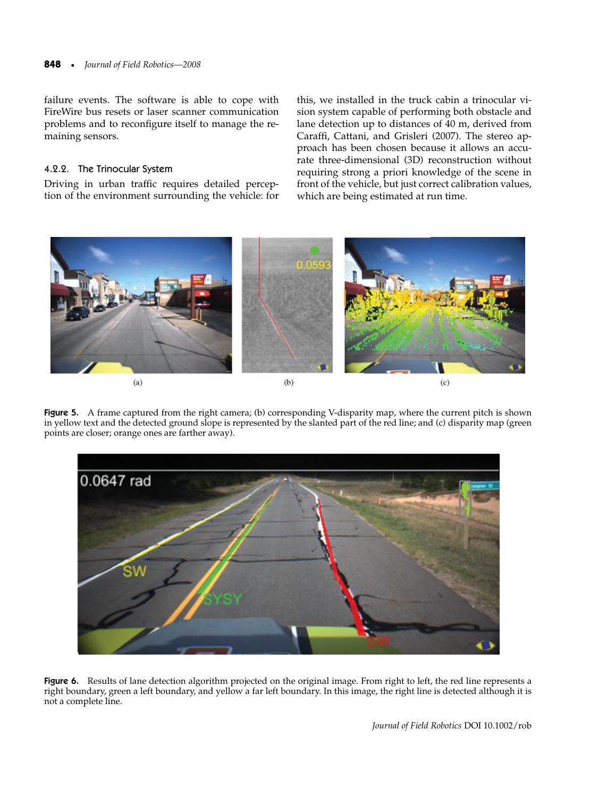failure events. The software is able to cope with FireWire bus resets or laser scanner communication problems and to reconfigure itself to manage the remaining sensors.

## 4.2.2. The Trinocular System

Driving in urban traffic requires detailed perception of the environment surrounding the vehicle: for this, we installed in the truck cabin a trinocular vision system capable of performing both obstacle and lane detection up to distances of 40 m, derived from Caraffi, Cattani, and Grisleri (2007). The stereo approach has been chosen because it allows an accurate three-dimensional (3D) reconstruction without requiring strong a priori knowledge of the scene in front of the vehicle, but just correct calibration values, which are being estimated at run time.



**Figure 5.** A frame captured from the right camera; (b) corresponding V-disparity map, where the current pitch is shown in yellow text and the detected ground slope is represented by the slanted part of the red line; and (c) disparity map (green points are closer; orange ones are farther away).



Figure 6. Results of lane detection algorithm projected on the original image. From right to left, the red line represents a right boundary, green a left boundary, and yellow a far left boundary. In this image, the right line is detected although it is not a complete line.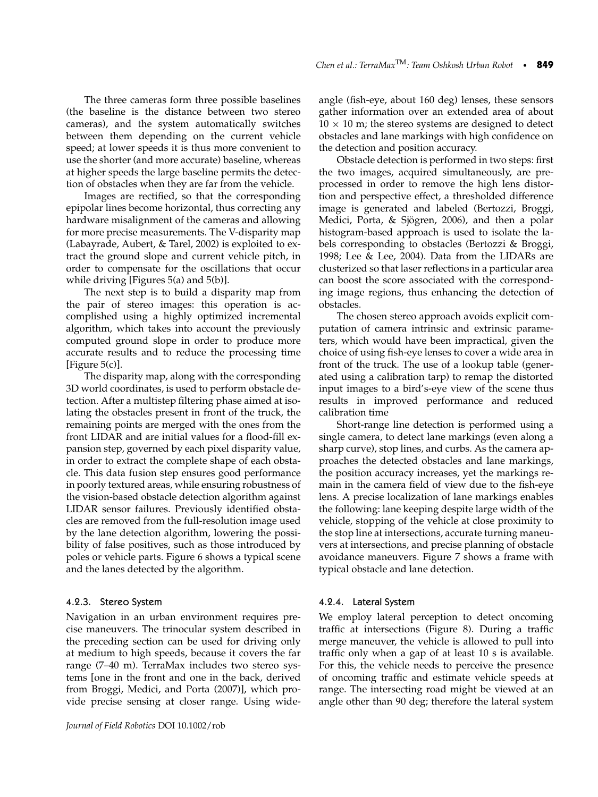The three cameras form three possible baselines (the baseline is the distance between two stereo cameras), and the system automatically switches between them depending on the current vehicle speed; at lower speeds it is thus more convenient to use the shorter (and more accurate) baseline, whereas at higher speeds the large baseline permits the detection of obstacles when they are far from the vehicle.

Images are rectified, so that the corresponding epipolar lines become horizontal, thus correcting any hardware misalignment of the cameras and allowing for more precise measurements. The V-disparity map (Labayrade, Aubert, & Tarel, 2002) is exploited to extract the ground slope and current vehicle pitch, in order to compensate for the oscillations that occur while driving [Figures 5(a) and 5(b)].

The next step is to build a disparity map from the pair of stereo images: this operation is accomplished using a highly optimized incremental algorithm, which takes into account the previously computed ground slope in order to produce more accurate results and to reduce the processing time [Figure 5(c)].

The disparity map, along with the corresponding 3D world coordinates, is used to perform obstacle detection. After a multistep filtering phase aimed at isolating the obstacles present in front of the truck, the remaining points are merged with the ones from the front LIDAR and are initial values for a flood-fill expansion step, governed by each pixel disparity value, in order to extract the complete shape of each obstacle. This data fusion step ensures good performance in poorly textured areas, while ensuring robustness of the vision-based obstacle detection algorithm against LIDAR sensor failures. Previously identified obstacles are removed from the full-resolution image used by the lane detection algorithm, lowering the possibility of false positives, such as those introduced by poles or vehicle parts. Figure 6 shows a typical scene and the lanes detected by the algorithm.

#### 4.2.3. Stereo System

Navigation in an urban environment requires precise maneuvers. The trinocular system described in the preceding section can be used for driving only at medium to high speeds, because it covers the far range (7–40 m). TerraMax includes two stereo systems [one in the front and one in the back, derived from Broggi, Medici, and Porta (2007)], which provide precise sensing at closer range. Using wideangle (fish-eye, about 160 deg) lenses, these sensors gather information over an extended area of about  $10 \times 10$  m; the stereo systems are designed to detect obstacles and lane markings with high confidence on the detection and position accuracy.

Obstacle detection is performed in two steps: first the two images, acquired simultaneously, are preprocessed in order to remove the high lens distortion and perspective effect, a thresholded difference image is generated and labeled (Bertozzi, Broggi, Medici, Porta, & Sjögren, 2006), and then a polar histogram-based approach is used to isolate the labels corresponding to obstacles (Bertozzi & Broggi, 1998; Lee & Lee, 2004). Data from the LIDARs are clusterized so that laser reflections in a particular area can boost the score associated with the corresponding image regions, thus enhancing the detection of obstacles.

The chosen stereo approach avoids explicit computation of camera intrinsic and extrinsic parameters, which would have been impractical, given the choice of using fish-eye lenses to cover a wide area in front of the truck. The use of a lookup table (generated using a calibration tarp) to remap the distorted input images to a bird's-eye view of the scene thus results in improved performance and reduced calibration time

Short-range line detection is performed using a single camera, to detect lane markings (even along a sharp curve), stop lines, and curbs. As the camera approaches the detected obstacles and lane markings, the position accuracy increases, yet the markings remain in the camera field of view due to the fish-eye lens. A precise localization of lane markings enables the following: lane keeping despite large width of the vehicle, stopping of the vehicle at close proximity to the stop line at intersections, accurate turning maneuvers at intersections, and precise planning of obstacle avoidance maneuvers. Figure 7 shows a frame with typical obstacle and lane detection.

#### 4.2.4. Lateral System

We employ lateral perception to detect oncoming traffic at intersections (Figure 8). During a traffic merge maneuver, the vehicle is allowed to pull into traffic only when a gap of at least 10 s is available. For this, the vehicle needs to perceive the presence of oncoming traffic and estimate vehicle speeds at range. The intersecting road might be viewed at an angle other than 90 deg; therefore the lateral system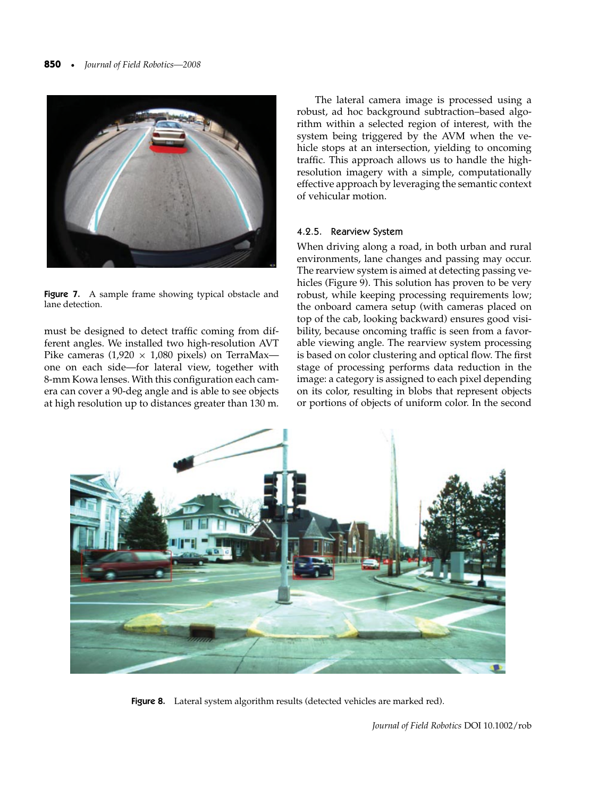

**Figure 7.** A sample frame showing typical obstacle and lane detection.

must be designed to detect traffic coming from different angles. We installed two high-resolution AVT Pike cameras  $(1,920 \times 1,080)$  pixels) on TerraMax one on each side—for lateral view, together with 8-mm Kowa lenses. With this configuration each camera can cover a 90-deg angle and is able to see objects at high resolution up to distances greater than 130 m.

The lateral camera image is processed using a robust, ad hoc background subtraction–based algorithm within a selected region of interest, with the system being triggered by the AVM when the vehicle stops at an intersection, yielding to oncoming traffic. This approach allows us to handle the highresolution imagery with a simple, computationally effective approach by leveraging the semantic context of vehicular motion.

#### 4.2.5. Rearview System

When driving along a road, in both urban and rural environments, lane changes and passing may occur. The rearview system is aimed at detecting passing vehicles (Figure 9). This solution has proven to be very robust, while keeping processing requirements low; the onboard camera setup (with cameras placed on top of the cab, looking backward) ensures good visibility, because oncoming traffic is seen from a favorable viewing angle. The rearview system processing is based on color clustering and optical flow. The first stage of processing performs data reduction in the image: a category is assigned to each pixel depending on its color, resulting in blobs that represent objects or portions of objects of uniform color. In the second



Figure 8. Lateral system algorithm results (detected vehicles are marked red).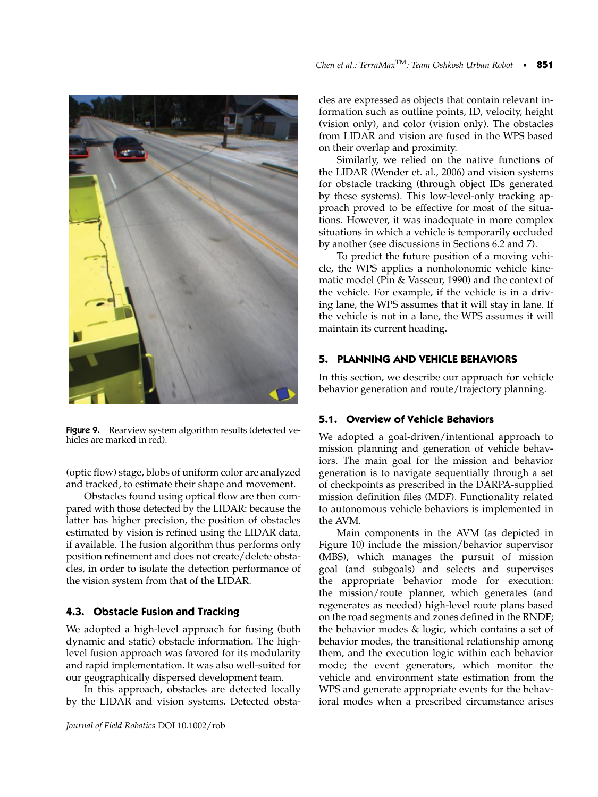

Figure 9. Rearview system algorithm results (detected vehicles are marked in red).

(optic flow) stage, blobs of uniform color are analyzed and tracked, to estimate their shape and movement.

Obstacles found using optical flow are then compared with those detected by the LIDAR: because the latter has higher precision, the position of obstacles estimated by vision is refined using the LIDAR data, if available. The fusion algorithm thus performs only position refinement and does not create/delete obstacles, in order to isolate the detection performance of the vision system from that of the LIDAR.

#### **4.3. Obstacle Fusion and Tracking**

We adopted a high-level approach for fusing (both dynamic and static) obstacle information. The highlevel fusion approach was favored for its modularity and rapid implementation. It was also well-suited for our geographically dispersed development team.

In this approach, obstacles are detected locally by the LIDAR and vision systems. Detected obstacles are expressed as objects that contain relevant information such as outline points, ID, velocity, height (vision only), and color (vision only). The obstacles from LIDAR and vision are fused in the WPS based on their overlap and proximity.

Similarly, we relied on the native functions of the LIDAR (Wender et. al., 2006) and vision systems for obstacle tracking (through object IDs generated by these systems). This low-level-only tracking approach proved to be effective for most of the situations. However, it was inadequate in more complex situations in which a vehicle is temporarily occluded by another (see discussions in Sections 6.2 and 7).

To predict the future position of a moving vehicle, the WPS applies a nonholonomic vehicle kinematic model (Pin & Vasseur, 1990) and the context of the vehicle. For example, if the vehicle is in a driving lane, the WPS assumes that it will stay in lane. If the vehicle is not in a lane, the WPS assumes it will maintain its current heading.

#### **5. PLANNING AND VEHICLE BEHAVIORS**

In this section, we describe our approach for vehicle behavior generation and route/trajectory planning.

#### **5.1. Overview of Vehicle Behaviors**

We adopted a goal-driven/intentional approach to mission planning and generation of vehicle behaviors. The main goal for the mission and behavior generation is to navigate sequentially through a set of checkpoints as prescribed in the DARPA-supplied mission definition files (MDF). Functionality related to autonomous vehicle behaviors is implemented in the AVM.

Main components in the AVM (as depicted in Figure 10) include the mission/behavior supervisor (MBS), which manages the pursuit of mission goal (and subgoals) and selects and supervises the appropriate behavior mode for execution: the mission/route planner, which generates (and regenerates as needed) high-level route plans based on the road segments and zones defined in the RNDF; the behavior modes & logic, which contains a set of behavior modes, the transitional relationship among them, and the execution logic within each behavior mode; the event generators, which monitor the vehicle and environment state estimation from the WPS and generate appropriate events for the behavioral modes when a prescribed circumstance arises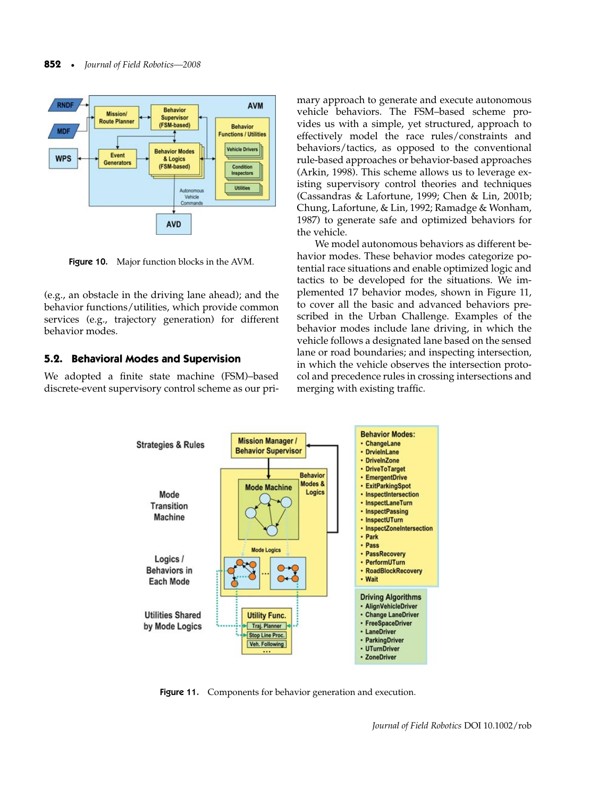

**Figure 10.** Major function blocks in the AVM.

(e.g., an obstacle in the driving lane ahead); and the behavior functions/utilities, which provide common services (e.g., trajectory generation) for different behavior modes.

## **5.2. Behavioral Modes and Supervision**

We adopted a finite state machine (FSM)–based discrete-event supervisory control scheme as our primary approach to generate and execute autonomous vehicle behaviors. The FSM–based scheme provides us with a simple, yet structured, approach to effectively model the race rules/constraints and behaviors/tactics, as opposed to the conventional rule-based approaches or behavior-based approaches (Arkin, 1998). This scheme allows us to leverage existing supervisory control theories and techniques (Cassandras & Lafortune, 1999; Chen & Lin, 2001b; Chung, Lafortune, & Lin, 1992; Ramadge & Wonham, 1987) to generate safe and optimized behaviors for the vehicle.

We model autonomous behaviors as different behavior modes. These behavior modes categorize potential race situations and enable optimized logic and tactics to be developed for the situations. We implemented 17 behavior modes, shown in Figure 11, to cover all the basic and advanced behaviors prescribed in the Urban Challenge. Examples of the behavior modes include lane driving, in which the vehicle follows a designated lane based on the sensed lane or road boundaries; and inspecting intersection, in which the vehicle observes the intersection protocol and precedence rules in crossing intersections and merging with existing traffic.



Figure 11. Components for behavior generation and execution.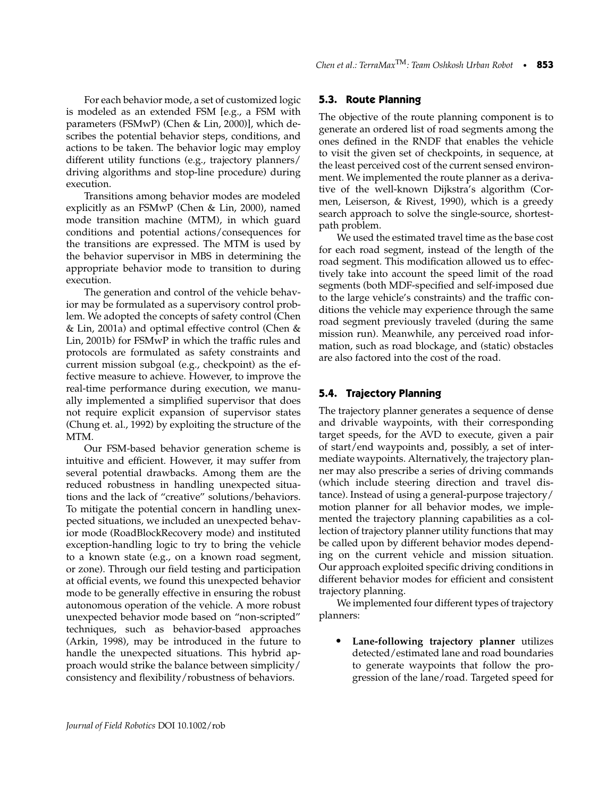For each behavior mode, a set of customized logic is modeled as an extended FSM [e.g., a FSM with parameters (FSMwP) (Chen & Lin, 2000)], which describes the potential behavior steps, conditions, and actions to be taken. The behavior logic may employ different utility functions (e.g., trajectory planners/ driving algorithms and stop-line procedure) during execution.

Transitions among behavior modes are modeled explicitly as an FSMwP (Chen & Lin, 2000), named mode transition machine (MTM), in which guard conditions and potential actions/consequences for the transitions are expressed. The MTM is used by the behavior supervisor in MBS in determining the appropriate behavior mode to transition to during execution.

The generation and control of the vehicle behavior may be formulated as a supervisory control problem. We adopted the concepts of safety control (Chen & Lin, 2001a) and optimal effective control (Chen & Lin, 2001b) for FSMwP in which the traffic rules and protocols are formulated as safety constraints and current mission subgoal (e.g., checkpoint) as the effective measure to achieve. However, to improve the real-time performance during execution, we manually implemented a simplified supervisor that does not require explicit expansion of supervisor states (Chung et. al., 1992) by exploiting the structure of the MTM.

Our FSM-based behavior generation scheme is intuitive and efficient. However, it may suffer from several potential drawbacks. Among them are the reduced robustness in handling unexpected situations and the lack of "creative" solutions/behaviors. To mitigate the potential concern in handling unexpected situations, we included an unexpected behavior mode (RoadBlockRecovery mode) and instituted exception-handling logic to try to bring the vehicle to a known state (e.g., on a known road segment, or zone). Through our field testing and participation at official events, we found this unexpected behavior mode to be generally effective in ensuring the robust autonomous operation of the vehicle. A more robust unexpected behavior mode based on "non-scripted" techniques, such as behavior-based approaches (Arkin, 1998), may be introduced in the future to handle the unexpected situations. This hybrid approach would strike the balance between simplicity/ consistency and flexibility/robustness of behaviors.

# **5.3. Route Planning**

The objective of the route planning component is to generate an ordered list of road segments among the ones defined in the RNDF that enables the vehicle to visit the given set of checkpoints, in sequence, at the least perceived cost of the current sensed environment. We implemented the route planner as a derivative of the well-known Dijkstra's algorithm (Cormen, Leiserson, & Rivest, 1990), which is a greedy search approach to solve the single-source, shortestpath problem.

We used the estimated travel time as the base cost for each road segment, instead of the length of the road segment. This modification allowed us to effectively take into account the speed limit of the road segments (both MDF-specified and self-imposed due to the large vehicle's constraints) and the traffic conditions the vehicle may experience through the same road segment previously traveled (during the same mission run). Meanwhile, any perceived road information, such as road blockage, and (static) obstacles are also factored into the cost of the road.

# **5.4. Trajectory Planning**

The trajectory planner generates a sequence of dense and drivable waypoints, with their corresponding target speeds, for the AVD to execute, given a pair of start/end waypoints and, possibly, a set of intermediate waypoints. Alternatively, the trajectory planner may also prescribe a series of driving commands (which include steering direction and travel distance). Instead of using a general-purpose trajectory/ motion planner for all behavior modes, we implemented the trajectory planning capabilities as a collection of trajectory planner utility functions that may be called upon by different behavior modes depending on the current vehicle and mission situation. Our approach exploited specific driving conditions in different behavior modes for efficient and consistent trajectory planning.

We implemented four different types of trajectory planners:

• **Lane-following trajectory planner** utilizes detected/estimated lane and road boundaries to generate waypoints that follow the progression of the lane/road. Targeted speed for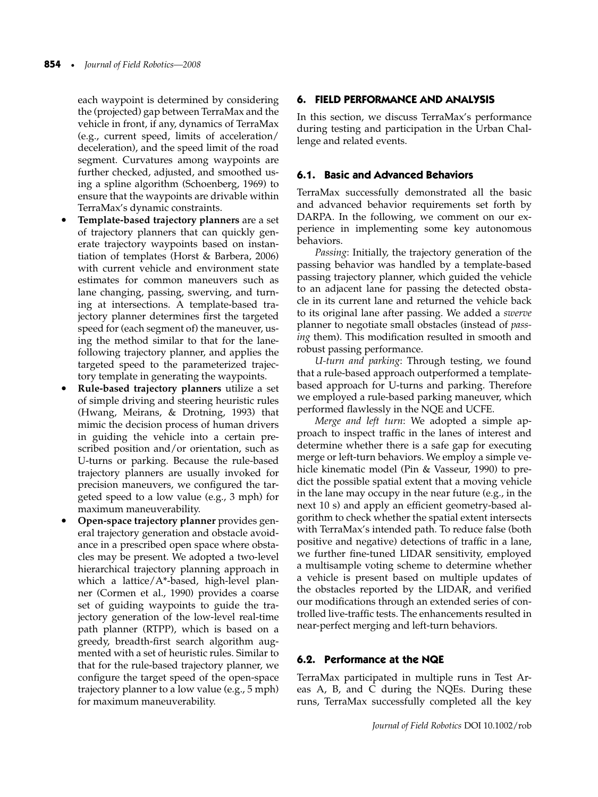each waypoint is determined by considering the (projected) gap between TerraMax and the vehicle in front, if any, dynamics of TerraMax (e.g., current speed, limits of acceleration/ deceleration), and the speed limit of the road segment. Curvatures among waypoints are further checked, adjusted, and smoothed using a spline algorithm (Schoenberg, 1969) to ensure that the waypoints are drivable within TerraMax's dynamic constraints.

- **Template-based trajectory planners** are a set of trajectory planners that can quickly generate trajectory waypoints based on instantiation of templates (Horst & Barbera, 2006) with current vehicle and environment state estimates for common maneuvers such as lane changing, passing, swerving, and turning at intersections. A template-based trajectory planner determines first the targeted speed for (each segment of) the maneuver, using the method similar to that for the lanefollowing trajectory planner, and applies the targeted speed to the parameterized trajectory template in generating the waypoints.
- **Rule-based trajectory planners** utilize a set of simple driving and steering heuristic rules (Hwang, Meirans, & Drotning, 1993) that mimic the decision process of human drivers in guiding the vehicle into a certain prescribed position and/or orientation, such as U-turns or parking. Because the rule-based trajectory planners are usually invoked for precision maneuvers, we configured the targeted speed to a low value (e.g., 3 mph) for maximum maneuverability.
- **Open-space trajectory planner** provides general trajectory generation and obstacle avoidance in a prescribed open space where obstacles may be present. We adopted a two-level hierarchical trajectory planning approach in which a lattice/A\*-based, high-level planner (Cormen et al., 1990) provides a coarse set of guiding waypoints to guide the trajectory generation of the low-level real-time path planner (RTPP), which is based on a greedy, breadth-first search algorithm augmented with a set of heuristic rules. Similar to that for the rule-based trajectory planner, we configure the target speed of the open-space trajectory planner to a low value (e.g., 5 mph) for maximum maneuverability.

#### **6. FIELD PERFORMANCE AND ANALYSIS**

In this section, we discuss TerraMax's performance during testing and participation in the Urban Challenge and related events.

#### **6.1. Basic and Advanced Behaviors**

TerraMax successfully demonstrated all the basic and advanced behavior requirements set forth by DARPA. In the following, we comment on our experience in implementing some key autonomous behaviors.

*Passing*: Initially, the trajectory generation of the passing behavior was handled by a template-based passing trajectory planner, which guided the vehicle to an adjacent lane for passing the detected obstacle in its current lane and returned the vehicle back to its original lane after passing. We added a *swerve* planner to negotiate small obstacles (instead of *passing* them). This modification resulted in smooth and robust passing performance.

*U-turn and parking*: Through testing, we found that a rule-based approach outperformed a templatebased approach for U-turns and parking. Therefore we employed a rule-based parking maneuver, which performed flawlessly in the NQE and UCFE.

*Merge and left turn*: We adopted a simple approach to inspect traffic in the lanes of interest and determine whether there is a safe gap for executing merge or left-turn behaviors. We employ a simple vehicle kinematic model (Pin & Vasseur, 1990) to predict the possible spatial extent that a moving vehicle in the lane may occupy in the near future (e.g., in the next 10 s) and apply an efficient geometry-based algorithm to check whether the spatial extent intersects with TerraMax's intended path. To reduce false (both positive and negative) detections of traffic in a lane, we further fine-tuned LIDAR sensitivity, employed a multisample voting scheme to determine whether a vehicle is present based on multiple updates of the obstacles reported by the LIDAR, and verified our modifications through an extended series of controlled live-traffic tests. The enhancements resulted in near-perfect merging and left-turn behaviors.

#### **6.2. Performance at the NQE**

TerraMax participated in multiple runs in Test Areas A, B, and C during the NQEs. During these runs, TerraMax successfully completed all the key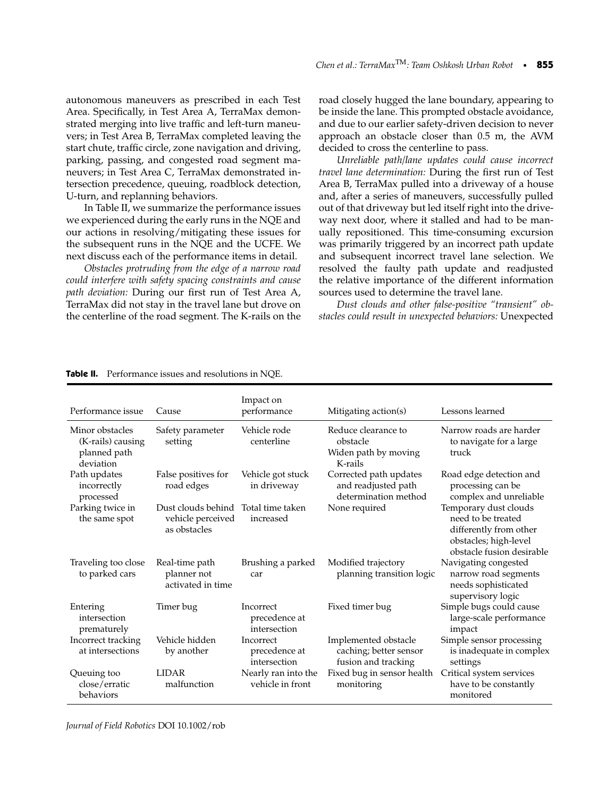autonomous maneuvers as prescribed in each Test Area. Specifically, in Test Area A, TerraMax demonstrated merging into live traffic and left-turn maneuvers; in Test Area B, TerraMax completed leaving the start chute, traffic circle, zone navigation and driving, parking, passing, and congested road segment maneuvers; in Test Area C, TerraMax demonstrated intersection precedence, queuing, roadblock detection, U-turn, and replanning behaviors.

In Table II, we summarize the performance issues we experienced during the early runs in the NQE and our actions in resolving/mitigating these issues for the subsequent runs in the NQE and the UCFE. We next discuss each of the performance items in detail.

*Obstacles protruding from the edge of a narrow road could interfere with safety spacing constraints and cause path deviation:* During our first run of Test Area A, TerraMax did not stay in the travel lane but drove on the centerline of the road segment. The K-rails on the

road closely hugged the lane boundary, appearing to be inside the lane. This prompted obstacle avoidance, and due to our earlier safety-driven decision to never approach an obstacle closer than 0.5 m, the AVM decided to cross the centerline to pass.

*Unreliable path/lane updates could cause incorrect travel lane determination:* During the first run of Test Area B, TerraMax pulled into a driveway of a house and, after a series of maneuvers, successfully pulled out of that driveway but led itself right into the driveway next door, where it stalled and had to be manually repositioned. This time-consuming excursion was primarily triggered by an incorrect path update and subsequent incorrect travel lane selection. We resolved the faulty path update and readjusted the relative importance of the different information sources used to determine the travel lane.

*Dust clouds and other false-positive "transient" obstacles could result in unexpected behaviors:* Unexpected

| Performance issue                                                 | Cause                                                   | Impact on<br>performance                   | Mitigating action(s)                                                  | Lessons learned                                                                                                             |
|-------------------------------------------------------------------|---------------------------------------------------------|--------------------------------------------|-----------------------------------------------------------------------|-----------------------------------------------------------------------------------------------------------------------------|
| Minor obstacles<br>(K-rails) causing<br>planned path<br>deviation | Safety parameter<br>setting                             | Vehicle rode<br>centerline                 | Reduce clearance to<br>obstacle<br>Widen path by moving<br>K-rails    | Narrow roads are harder<br>to navigate for a large<br>truck                                                                 |
| Path updates<br>incorrectly<br>processed                          | False positives for<br>road edges                       | Vehicle got stuck<br>in driveway           | Corrected path updates<br>and readjusted path<br>determination method | Road edge detection and<br>processing can be<br>complex and unreliable                                                      |
| Parking twice in<br>the same spot                                 | Dust clouds behind<br>vehicle perceived<br>as obstacles | Total time taken<br>increased              | None required                                                         | Temporary dust clouds<br>need to be treated<br>differently from other<br>obstacles; high-level<br>obstacle fusion desirable |
| Traveling too close<br>to parked cars                             | Real-time path<br>planner not<br>activated in time      | Brushing a parked<br>car                   | Modified trajectory<br>planning transition logic                      | Navigating congested<br>narrow road segments<br>needs sophisticated<br>supervisory logic                                    |
| Entering<br>intersection<br>prematurely                           | Timer bug                                               | Incorrect<br>precedence at<br>intersection | Fixed timer bug                                                       | Simple bugs could cause<br>large-scale performance<br>impact                                                                |
| Incorrect tracking<br>at intersections                            | Vehicle hidden<br>by another                            | Incorrect<br>precedence at<br>intersection | Implemented obstacle<br>caching; better sensor<br>fusion and tracking | Simple sensor processing<br>is inadequate in complex<br>settings                                                            |
| Queuing too<br>close/erratic<br>behaviors                         | <b>LIDAR</b><br>malfunction                             | Nearly ran into the<br>vehicle in front    | Fixed bug in sensor health<br>monitoring                              | Critical system services<br>have to be constantly<br>monitored                                                              |

**Table II.** Performance issues and resolutions in NOE.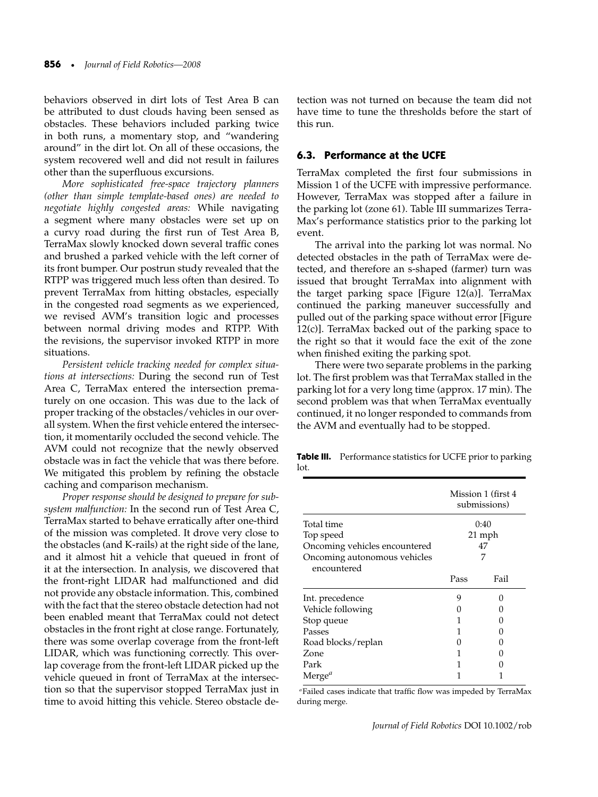behaviors observed in dirt lots of Test Area B can be attributed to dust clouds having been sensed as obstacles. These behaviors included parking twice in both runs, a momentary stop, and "wandering around" in the dirt lot. On all of these occasions, the system recovered well and did not result in failures other than the superfluous excursions.

*More sophisticated free-space trajectory planners (other than simple template-based ones) are needed to negotiate highly congested areas:* While navigating a segment where many obstacles were set up on a curvy road during the first run of Test Area B, TerraMax slowly knocked down several traffic cones and brushed a parked vehicle with the left corner of its front bumper. Our postrun study revealed that the RTPP was triggered much less often than desired. To prevent TerraMax from hitting obstacles, especially in the congested road segments as we experienced, we revised AVM's transition logic and processes between normal driving modes and RTPP. With the revisions, the supervisor invoked RTPP in more situations.

*Persistent vehicle tracking needed for complex situations at intersections:* During the second run of Test Area C, TerraMax entered the intersection prematurely on one occasion. This was due to the lack of proper tracking of the obstacles/vehicles in our overall system. When the first vehicle entered the intersection, it momentarily occluded the second vehicle. The AVM could not recognize that the newly observed obstacle was in fact the vehicle that was there before. We mitigated this problem by refining the obstacle caching and comparison mechanism.

*Proper response should be designed to prepare for subsystem malfunction:* In the second run of Test Area C, TerraMax started to behave erratically after one-third of the mission was completed. It drove very close to the obstacles (and K-rails) at the right side of the lane, and it almost hit a vehicle that queued in front of it at the intersection. In analysis, we discovered that the front-right LIDAR had malfunctioned and did not provide any obstacle information. This, combined with the fact that the stereo obstacle detection had not been enabled meant that TerraMax could not detect obstacles in the front right at close range. Fortunately, there was some overlap coverage from the front-left LIDAR, which was functioning correctly. This overlap coverage from the front-left LIDAR picked up the vehicle queued in front of TerraMax at the intersection so that the supervisor stopped TerraMax just in time to avoid hitting this vehicle. Stereo obstacle detection was not turned on because the team did not have time to tune the thresholds before the start of this run.

#### **6.3. Performance at the UCFE**

TerraMax completed the first four submissions in Mission 1 of the UCFE with impressive performance. However, TerraMax was stopped after a failure in the parking lot (zone 61). Table III summarizes Terra-Max's performance statistics prior to the parking lot event.

The arrival into the parking lot was normal. No detected obstacles in the path of TerraMax were detected, and therefore an s-shaped (farmer) turn was issued that brought TerraMax into alignment with the target parking space [Figure 12(a)]. TerraMax continued the parking maneuver successfully and pulled out of the parking space without error [Figure 12(c)]. TerraMax backed out of the parking space to the right so that it would face the exit of the zone when finished exiting the parking spot.

There were two separate problems in the parking lot. The first problem was that TerraMax stalled in the parking lot for a very long time (approx. 17 min). The second problem was that when TerraMax eventually continued, it no longer responded to commands from the AVM and eventually had to be stopped.

**Table III.** Performance statistics for UCFE prior to parking lot.

|                                                                                                         | Mission 1 (first 4)<br>submissions) |      |  |  |
|---------------------------------------------------------------------------------------------------------|-------------------------------------|------|--|--|
| Total time<br>Top speed<br>Oncoming vehicles encountered<br>Oncoming autonomous vehicles<br>encountered | 0:40<br>$21$ mph<br>47<br>7         |      |  |  |
|                                                                                                         | Pass                                | Fail |  |  |
| Int. precedence                                                                                         | 9                                   | 0    |  |  |
| Vehicle following                                                                                       | 0                                   |      |  |  |
| Stop queue                                                                                              |                                     |      |  |  |
| Passes                                                                                                  |                                     |      |  |  |
| Road blocks/replan                                                                                      |                                     |      |  |  |
| Zone                                                                                                    |                                     |      |  |  |
| Park                                                                                                    |                                     |      |  |  |
| $Merge^a$                                                                                               |                                     |      |  |  |

*<sup>a</sup>*Failed cases indicate that traffic flow was impeded by TerraMax during merge.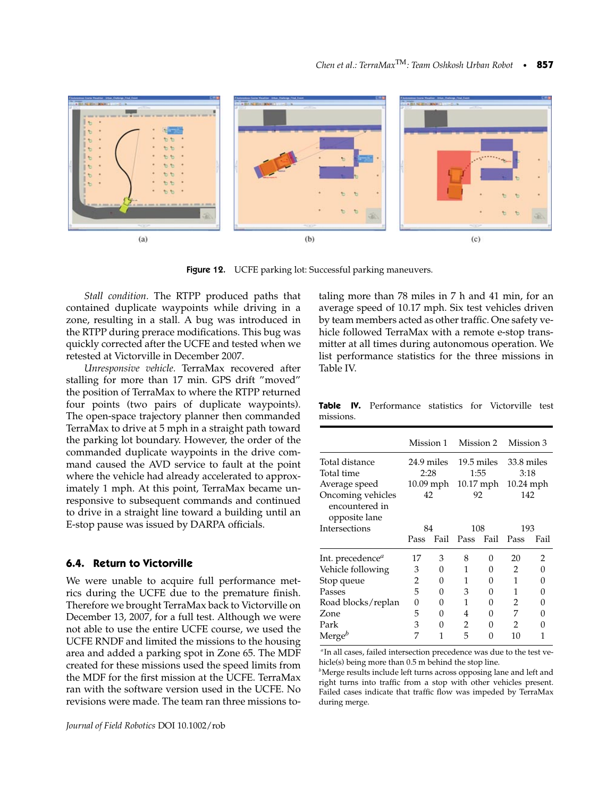

Figure 12. UCFE parking lot: Successful parking maneuvers.

*Stall condition.* The RTPP produced paths that contained duplicate waypoints while driving in a zone, resulting in a stall. A bug was introduced in the RTPP during prerace modifications. This bug was quickly corrected after the UCFE and tested when we retested at Victorville in December 2007.

*Unresponsive vehicle.* TerraMax recovered after stalling for more than 17 min. GPS drift "moved" the position of TerraMax to where the RTPP returned four points (two pairs of duplicate waypoints). The open-space trajectory planner then commanded TerraMax to drive at 5 mph in a straight path toward the parking lot boundary. However, the order of the commanded duplicate waypoints in the drive command caused the AVD service to fault at the point where the vehicle had already accelerated to approximately 1 mph. At this point, TerraMax became unresponsive to subsequent commands and continued to drive in a straight line toward a building until an E-stop pause was issued by DARPA officials.

#### **6.4. Return to Victorville**

We were unable to acquire full performance metrics during the UCFE due to the premature finish. Therefore we brought TerraMax back to Victorville on December 13, 2007, for a full test. Although we were not able to use the entire UCFE course, we used the UCFE RNDF and limited the missions to the housing area and added a parking spot in Zone 65. The MDF created for these missions used the speed limits from the MDF for the first mission at the UCFE. TerraMax ran with the software version used in the UCFE. No revisions were made. The team ran three missions totaling more than 78 miles in 7 h and 41 min, for an average speed of 10.17 mph. Six test vehicles driven by team members acted as other traffic. One safety vehicle followed TerraMax with a remote e-stop transmitter at all times during autonomous operation. We list performance statistics for the three missions in Table IV.

**Table IV.** Performance statistics for Victorville test missions.

|                              | Mission 1  |              | Mission 2  |           | Mission 3     |                   |
|------------------------------|------------|--------------|------------|-----------|---------------|-------------------|
| Total distance               | 24.9 miles |              | 19.5 miles |           | 33.8 miles    |                   |
| Total time                   | 2:28       |              | 1:55       |           | 3:18          |                   |
| Average speed                | 10.09 mph  |              | 10.17 mph  |           | $10.24$ mph   |                   |
| Oncoming vehicles            | 42         |              | 92         |           | 142           |                   |
| encountered in               |            |              |            |           |               |                   |
| opposite lane                |            |              |            |           |               |                   |
| <b>Intersections</b>         | 84         |              | 108        |           | 193           |                   |
|                              | Pass       | Fail         |            | Pass Fail | Pass          | Fail              |
| Int. precedence <sup>a</sup> | 17         | 3            | 8          | 0         | 20            | 2                 |
| Vehicle following            | 3          | U            | 1          | 0         | 2             | O                 |
| Stop queue                   | 2          | U            | 1          | 0         | 1             | 0                 |
| Passes                       | 5          | U            | 3          | 0         | 1             | 0                 |
| Road blocks/replan           | 0          | 0            | 1          | 0         | $\mathcal{P}$ | $\mathbf{\Omega}$ |
| Zone                         | 5          | $\mathbf{0}$ | 4          | 0         | 7             | 0                 |
| Park                         | 3          | 0            | 2          | 0         | 2             | 0                 |
| $Merge^b$                    | 7          | 1            | 5          | 0         | 10            | 1                 |

*<sup>a</sup>* In all cases, failed intersection precedence was due to the test vehicle(s) being more than 0.5 m behind the stop line.

*<sup>b</sup>*Merge results include left turns across opposing lane and left and right turns into traffic from a stop with other vehicles present. Failed cases indicate that traffic flow was impeded by TerraMax during merge.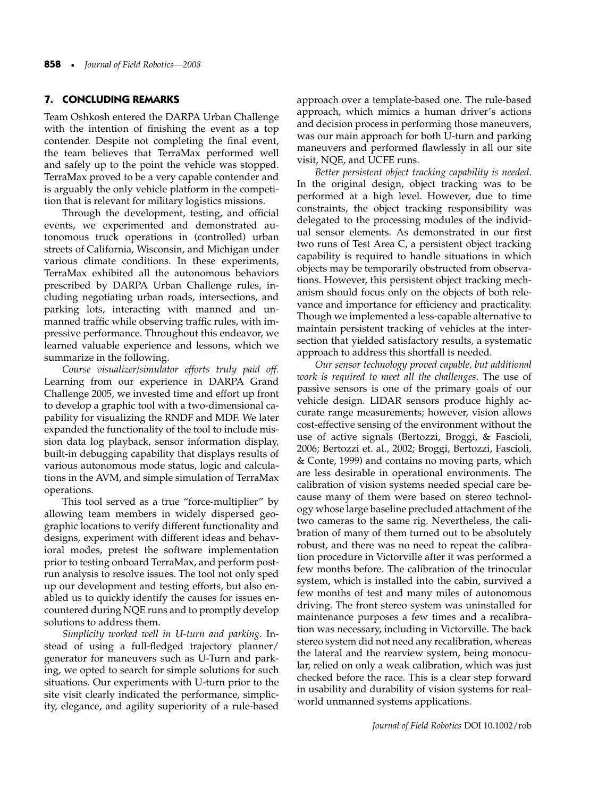## **7. CONCLUDING REMARKS**

Team Oshkosh entered the DARPA Urban Challenge with the intention of finishing the event as a top contender. Despite not completing the final event, the team believes that TerraMax performed well and safely up to the point the vehicle was stopped. TerraMax proved to be a very capable contender and is arguably the only vehicle platform in the competition that is relevant for military logistics missions.

Through the development, testing, and official events, we experimented and demonstrated autonomous truck operations in (controlled) urban streets of California, Wisconsin, and Michigan under various climate conditions. In these experiments, TerraMax exhibited all the autonomous behaviors prescribed by DARPA Urban Challenge rules, including negotiating urban roads, intersections, and parking lots, interacting with manned and unmanned traffic while observing traffic rules, with impressive performance. Throughout this endeavor, we learned valuable experience and lessons, which we summarize in the following.

*Course visualizer/simulator efforts truly paid off.* Learning from our experience in DARPA Grand Challenge 2005, we invested time and effort up front to develop a graphic tool with a two-dimensional capability for visualizing the RNDF and MDF. We later expanded the functionality of the tool to include mission data log playback, sensor information display, built-in debugging capability that displays results of various autonomous mode status, logic and calculations in the AVM, and simple simulation of TerraMax operations.

This tool served as a true "force-multiplier" by allowing team members in widely dispersed geographic locations to verify different functionality and designs, experiment with different ideas and behavioral modes, pretest the software implementation prior to testing onboard TerraMax, and perform postrun analysis to resolve issues. The tool not only sped up our development and testing efforts, but also enabled us to quickly identify the causes for issues encountered during NQE runs and to promptly develop solutions to address them.

*Simplicity worked well in U-turn and parking.* Instead of using a full-fledged trajectory planner/ generator for maneuvers such as U-Turn and parking, we opted to search for simple solutions for such situations. Our experiments with U-turn prior to the site visit clearly indicated the performance, simplicity, elegance, and agility superiority of a rule-based approach over a template-based one. The rule-based approach, which mimics a human driver's actions and decision process in performing those maneuvers, was our main approach for both U-turn and parking maneuvers and performed flawlessly in all our site visit, NQE, and UCFE runs.

*Better persistent object tracking capability is needed.* In the original design, object tracking was to be performed at a high level. However, due to time constraints, the object tracking responsibility was delegated to the processing modules of the individual sensor elements. As demonstrated in our first two runs of Test Area C, a persistent object tracking capability is required to handle situations in which objects may be temporarily obstructed from observations. However, this persistent object tracking mechanism should focus only on the objects of both relevance and importance for efficiency and practicality. Though we implemented a less-capable alternative to maintain persistent tracking of vehicles at the intersection that yielded satisfactory results, a systematic approach to address this shortfall is needed.

*Our sensor technology proved capable, but additional work is required to meet all the challenges.* The use of passive sensors is one of the primary goals of our vehicle design. LIDAR sensors produce highly accurate range measurements; however, vision allows cost-effective sensing of the environment without the use of active signals (Bertozzi, Broggi, & Fascioli, 2006; Bertozzi et. al., 2002; Broggi, Bertozzi, Fascioli, & Conte, 1999) and contains no moving parts, which are less desirable in operational environments. The calibration of vision systems needed special care because many of them were based on stereo technology whose large baseline precluded attachment of the two cameras to the same rig. Nevertheless, the calibration of many of them turned out to be absolutely robust, and there was no need to repeat the calibration procedure in Victorville after it was performed a few months before. The calibration of the trinocular system, which is installed into the cabin, survived a few months of test and many miles of autonomous driving. The front stereo system was uninstalled for maintenance purposes a few times and a recalibration was necessary, including in Victorville. The back stereo system did not need any recalibration, whereas the lateral and the rearview system, being monocular, relied on only a weak calibration, which was just checked before the race. This is a clear step forward in usability and durability of vision systems for realworld unmanned systems applications.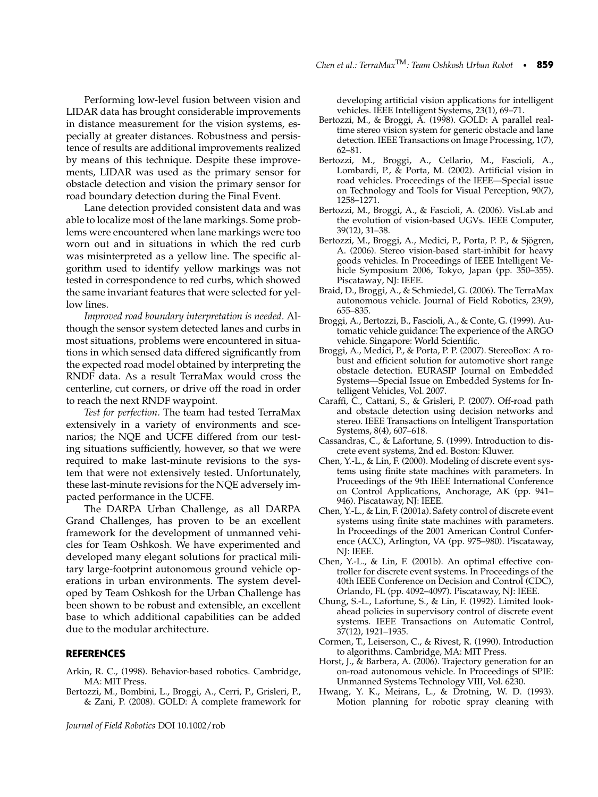Performing low-level fusion between vision and LIDAR data has brought considerable improvements in distance measurement for the vision systems, especially at greater distances. Robustness and persistence of results are additional improvements realized by means of this technique. Despite these improvements, LIDAR was used as the primary sensor for obstacle detection and vision the primary sensor for road boundary detection during the Final Event.

Lane detection provided consistent data and was able to localize most of the lane markings. Some problems were encountered when lane markings were too worn out and in situations in which the red curb was misinterpreted as a yellow line. The specific algorithm used to identify yellow markings was not tested in correspondence to red curbs, which showed the same invariant features that were selected for yellow lines.

*Improved road boundary interpretation is needed.* Although the sensor system detected lanes and curbs in most situations, problems were encountered in situations in which sensed data differed significantly from the expected road model obtained by interpreting the RNDF data. As a result TerraMax would cross the centerline, cut corners, or drive off the road in order to reach the next RNDF waypoint.

*Test for perfection.* The team had tested TerraMax extensively in a variety of environments and scenarios; the NQE and UCFE differed from our testing situations sufficiently, however, so that we were required to make last-minute revisions to the system that were not extensively tested. Unfortunately, these last-minute revisions for the NQE adversely impacted performance in the UCFE.

The DARPA Urban Challenge, as all DARPA Grand Challenges, has proven to be an excellent framework for the development of unmanned vehicles for Team Oshkosh. We have experimented and developed many elegant solutions for practical military large-footprint autonomous ground vehicle operations in urban environments. The system developed by Team Oshkosh for the Urban Challenge has been shown to be robust and extensible, an excellent base to which additional capabilities can be added due to the modular architecture.

#### **REFERENCES**

- Arkin, R. C., (1998). Behavior-based robotics. Cambridge, MA: MIT Press.
- Bertozzi, M., Bombini, L., Broggi, A., Cerri, P., Grisleri, P., & Zani, P. (2008). GOLD: A complete framework for

developing artificial vision applications for intelligent vehicles. IEEE Intelligent Systems, 23(1), 69–71.

- Bertozzi, M., & Broggi, A. (1998). GOLD: A parallel realtime stereo vision system for generic obstacle and lane detection. IEEE Transactions on Image Processing, 1(7), 62–81.
- Bertozzi, M., Broggi, A., Cellario, M., Fascioli, A., Lombardi, P., & Porta, M. (2002). Artificial vision in road vehicles. Proceedings of the IEEE—Special issue on Technology and Tools for Visual Perception, 90(7), 1258–1271.
- Bertozzi, M., Broggi, A., & Fascioli, A. (2006). VisLab and the evolution of vision-based UGVs. IEEE Computer, 39(12), 31–38.
- Bertozzi, M., Broggi, A., Medici, P., Porta, P. P., & Sjögren, A. (2006). Stereo vision-based start-inhibit for heavy goods vehicles. In Proceedings of IEEE Intelligent Vehicle Symposium 2006, Tokyo, Japan (pp. 350–355). Piscataway, NJ: IEEE.
- Braid, D., Broggi, A., & Schmiedel, G. (2006). The TerraMax autonomous vehicle. Journal of Field Robotics, 23(9), 655–835.
- Broggi, A., Bertozzi, B., Fascioli, A., & Conte, G. (1999). Automatic vehicle guidance: The experience of the ARGO vehicle. Singapore: World Scientific.
- Broggi, A., Medici, P., & Porta, P. P. (2007). StereoBox: A robust and efficient solution for automotive short range obstacle detection. EURASIP Journal on Embedded Systems—Special Issue on Embedded Systems for Intelligent Vehicles, Vol. 2007.
- Caraffi, C., Cattani, S., & Grisleri, P. (2007). Off-road path and obstacle detection using decision networks and stereo. IEEE Transactions on Intelligent Transportation Systems, 8(4), 607–618.
- Cassandras, C., & Lafortune, S. (1999). Introduction to discrete event systems, 2nd ed. Boston: Kluwer.
- Chen, Y.-L., & Lin, F. (2000). Modeling of discrete event systems using finite state machines with parameters. In Proceedings of the 9th IEEE International Conference on Control Applications, Anchorage, AK (pp. 941– 946). Piscataway, NJ: IEEE.
- Chen, Y.-L., & Lin, F. (2001a). Safety control of discrete event systems using finite state machines with parameters. In Proceedings of the 2001 American Control Conference (ACC), Arlington, VA (pp. 975–980). Piscataway, NJ: IEEE.
- Chen, Y.-L., & Lin, F. (2001b). An optimal effective controller for discrete event systems. In Proceedings of the 40th IEEE Conference on Decision and Control (CDC), Orlando, FL (pp. 4092–4097). Piscataway, NJ: IEEE.
- Chung, S.-L., Lafortune, S., & Lin, F. (1992). Limited lookahead policies in supervisory control of discrete event systems. IEEE Transactions on Automatic Control, 37(12), 1921–1935.
- Cormen, T., Leiserson, C., & Rivest, R. (1990). Introduction to algorithms. Cambridge, MA: MIT Press.
- Horst, J., & Barbera, A. (2006). Trajectory generation for an on-road autonomous vehicle. In Proceedings of SPIE: Unmanned Systems Technology VIII, Vol. 6230.
- Hwang, Y. K., Meirans, L., & Drotning, W. D. (1993). Motion planning for robotic spray cleaning with